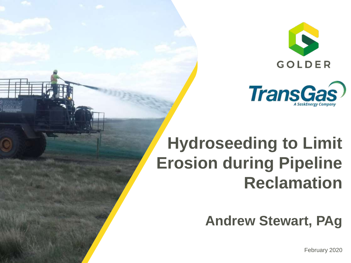



## **Hydroseeding to Limit Erosion during Pipeline Reclamation**

**Andrew Stewart, PAg**

February 2020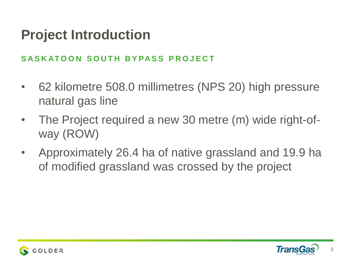#### **Project Introduction**

#### SA S K AT OON SOUTH BYPASS PROJECT

- 62 kilometre 508.0 millimetres (NPS 20) high pressure natural gas line
- The Project required a new 30 metre (m) wide right-ofway (ROW)
- Approximately 26.4 ha of native grassland and 19.9 ha of modified grassland was crossed by the project



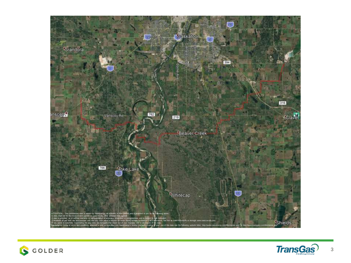



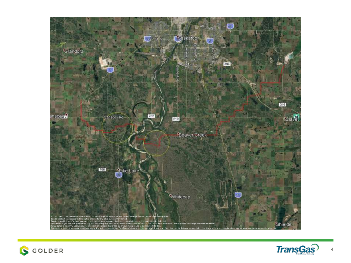



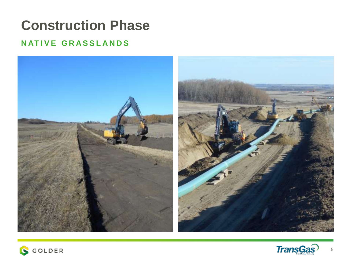### **Construction Phase**

#### **NATIVE GRASSLANDS**





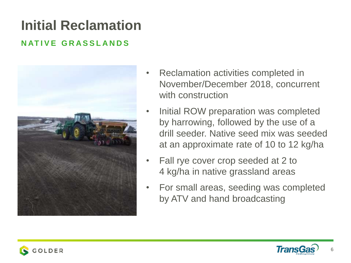### **Initial Reclamation**

#### **N AT I V E G R A S S L A N D S**



- Reclamation activities completed in November/December 2018, concurrent with construction
- Initial ROW preparation was completed by harrowing, followed by the use of a drill seeder. Native seed mix was seeded at an approximate rate of 10 to 12 kg/ha
- Fall rye cover crop seeded at 2 to 4 kg/ha in native grassland areas
- For small areas, seeding was completed by ATV and hand broadcasting

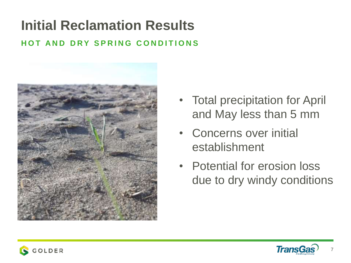### **Initial Reclamation Results**

#### **HOT AND DRY SPRING CONDITIONS**



- Total precipitation for April and May less than 5 mm
- Concerns over initial establishment
- Potential for erosion loss due to dry windy conditions



7

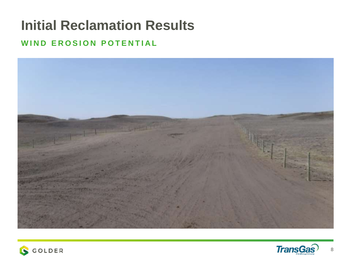### **Initial Reclamation Results**

#### **WIND EROSION POTENTIAL**





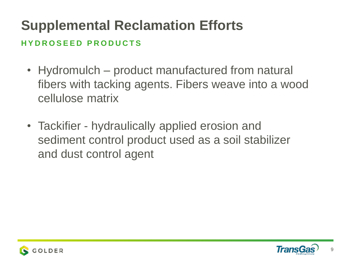### **Supplemental Reclamation Efforts**

#### **H Y D R O S E E D P R O D U C T S**

- Hydromulch product manufactured from natural fibers with tacking agents. Fibers weave into a wood cellulose matrix
- Tackifier hydraulically applied erosion and sediment control product used as a soil stabilizer and dust control agent



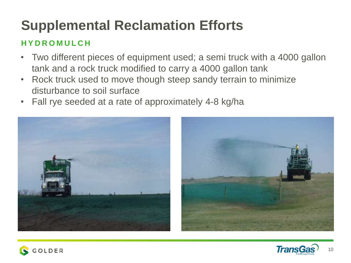### **Supplemental Reclamation Efforts**

#### **H Y D R O M U L C H**

- Two different pieces of equipment used; a semi truck with a 4000 gallon tank and a rock truck modified to carry a 4000 gallon tank
- Rock truck used to move though steep sandy terrain to minimize disturbance to soil surface
- Fall rye seeded at a rate of approximately 4-8 kg/ha







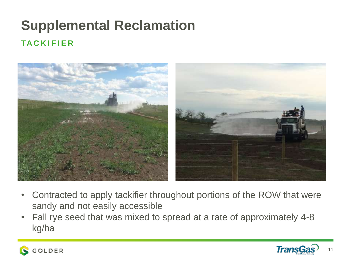### **Supplemental Reclamation TA C K I F I E R**



- Contracted to apply tackifier throughout portions of the ROW that were sandy and not easily accessible
- Fall rye seed that was mixed to spread at a rate of approximately 4-8 kg/ha



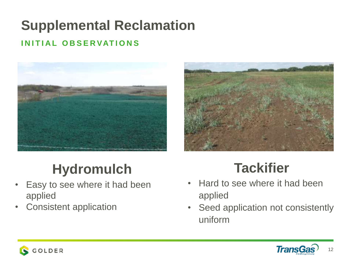### **Supplemental Reclamation**

#### **I N I T I A L O B S E R VAT I O N S**





#### **Hydromulch**

- Easy to see where it had been applied
- Consistent application

#### **Tackifier**

- Hard to see where it had been applied
- Seed application not consistently uniform



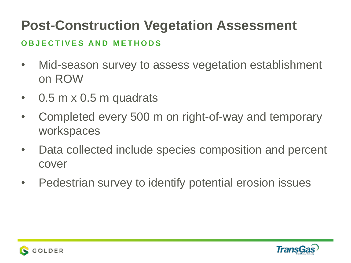#### **O B J E C T I V E S A N D M E T H O D S**

- Mid-season survey to assess vegetation establishment on ROW
- 0.5 m x 0.5 m quadrats
- Completed every 500 m on right-of-way and temporary workspaces
- Data collected include species composition and percent cover
- Pedestrian survey to identify potential erosion issues



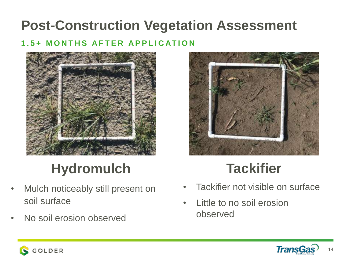#### **1 . 5 + M O N T H S A F T E R A P P L I C AT I O N**





### **Hydromulch**

- Mulch noticeably still present on soil surface
- No soil erosion observed

#### **Tackifier**

- Tackifier not visible on surface
- Little to no soil erosion observed



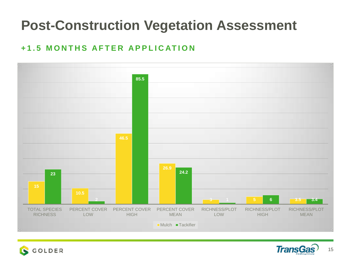#### **+ 1 . 5 M O N T H S A F T E R A P P L I C AT I O N**





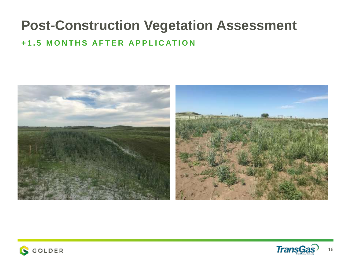#### **+ 1 . 5 M O N T H S A F T E R A P P L I C AT I O N**





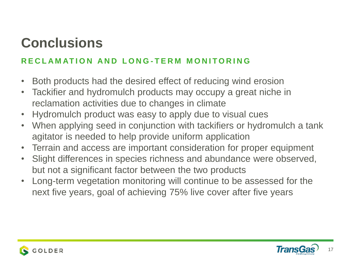#### **Conclusions**

#### **R E C L A M AT I O N A N D L O N G - T E R M M O N I T O R I N G**

- Both products had the desired effect of reducing wind erosion
- Tackifier and hydromulch products may occupy a great niche in reclamation activities due to changes in climate
- Hydromulch product was easy to apply due to visual cues
- When applying seed in conjunction with tackifiers or hydromulch a tank agitator is needed to help provide uniform application
- Terrain and access are important consideration for proper equipment
- Slight differences in species richness and abundance were observed, but not a significant factor between the two products
- Long-term vegetation monitoring will continue to be assessed for the next five years, goal of achieving 75% live cover after five years